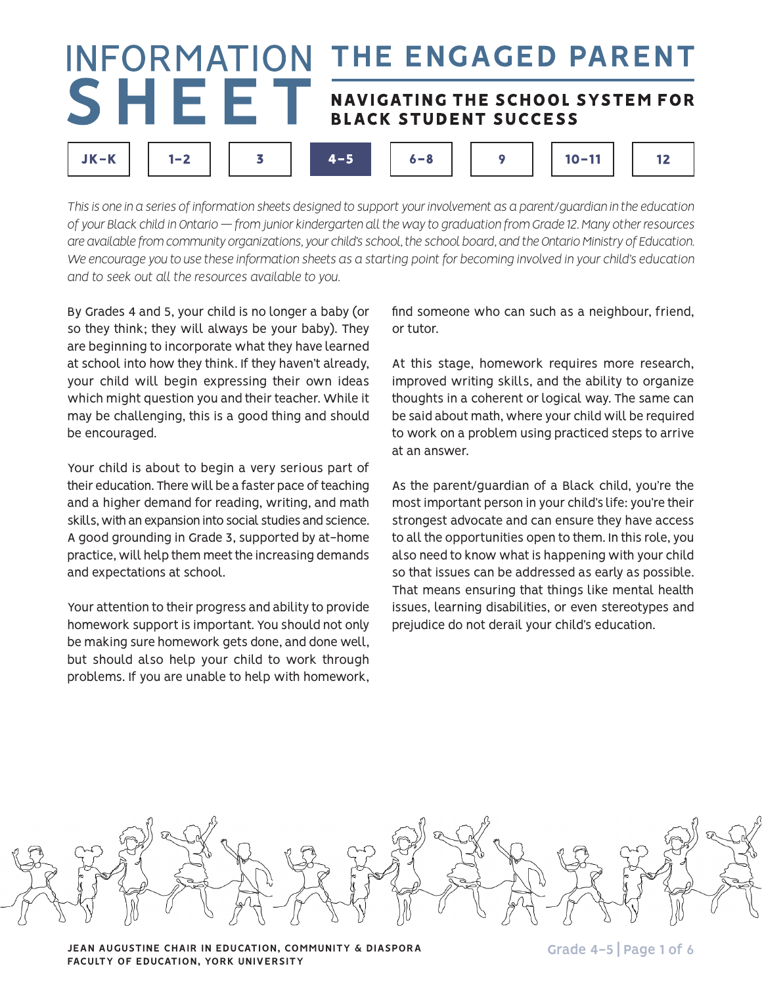# THE ENGAGED PARENT **INFORMATION** SHEET NAVIGATING THE SCHOOL SYSTEM FOR **BLACK STUDENT SUCCESS**

 $6 - 8$ 

 $4 - 5$ 

*This is one in a series of information sheets designed to support your involvement as a parent/guardian in the education of your Black child in Ontario — from junior kindergarten all the way to graduation from Grade 12. Many other resources are available from community organizations, your child's school, the school board, and the Ontario Ministry of Education. We encourage you to use these information sheets as a starting point for becoming involved in your child's education and to seek out all the resources available to you.*

By Grades 4 and 5, your child is no longer a baby (or so they think; they will always be your baby). They are beginning to incorporate what they have learned at school into how they think. If they haven't already, your child will begin expressing their own ideas which might question you and their teacher. While it may be challenging, this is a good thing and should be encouraged.

 $JK-K$ 

 $1 - 2$ 

3

Your child is about to begin a very serious part of their education. There will be a faster pace of teaching and a higher demand for reading, writing, and math skills, with an expansion into social studies and science. A good grounding in Grade 3, supported by at-home practice, will help them meet the increasing demands and expectations at school.

Your attention to their progress and ability to provide homework support is important. You should not only be making sure homework gets done, and done well, but should also help your child to work through problems. If you are unable to help with homework,

find someone who can such as a neighbour, friend, or tutor.

 $10 - 11$ 

 $12$ 

9

At this stage, homework requires more research, improved writing skills, and the ability to organize thoughts in a coherent or logical way. The same can be said about math, where your child will be required to work on a problem using practiced steps to arrive at an answer.

As the parent/guardian of a Black child, you're the most important person in your child's life: you're their strongest advocate and can ensure they have access to all the opportunities open to them. In this role, you also need to know what is happening with your child so that issues can be addressed as early as possible. That means ensuring that things like mental health issues, learning disabilities, or even stereotypes and prejudice do not derail your child's education.



**JEAN AUGUSTINE CHAIR IN EDUCATION, COMMUNITY & DIASPORA FACULTY OF EDUCATION, YORK UNIVERSITY**

**Grade 4-5 | Page 1 of 6**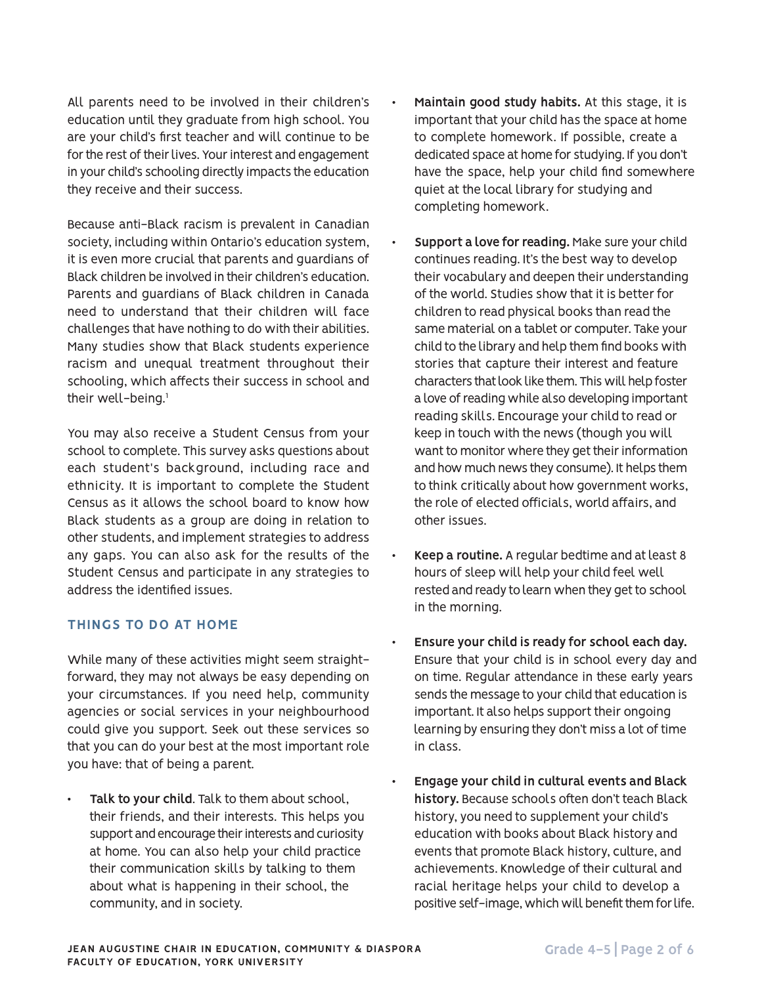All parents need to be involved in their children's education until they graduate from high school. You are your child's first teacher and will continue to be for the rest of their lives. Your interest and engagement in your child's schooling directly impacts the education they receive and their success.

Because anti-Black racism is prevalent in Canadian society, including within Ontario's education system, it is even more crucial that parents and guardians of Black children be involved in their children's education. Parents and guardians of Black children in Canada need to understand that their children will face challenges that have nothing to do with their abilities. Many studies show that Black students experience racism and unequal treatment throughout their schooling, which affects their success in school and their well-being.<sup>1</sup>

You may also receive a Student Census from your school to complete. This survey asks questions about each student's background, including race and ethnicity. It is important to complete the Student Census as it allows the school board to know how Black students as a group are doing in relation to other students, and implement strategies to address any gaps. You can also ask for the results of the Student Census and participate in any strategies to address the identified issues.

## **THINGS TO DO AT HOME**

While many of these activities might seem straightforward, they may not always be easy depending on your circumstances. If you need help, community agencies or social services in your neighbourhood could give you support. Seek out these services so that you can do your best at the most important role you have: that of being a parent.

Talk to your child. Talk to them about school, their friends, and their interests. This helps you support and encourage their interests and curiosity at home. You can also help your child practice their communication skills by talking to them about what is happening in their school, the community, and in society.

- Maintain good study habits. At this stage, it is important that your child has the space at home to complete homework. If possible, create a dedicated space at home for studying. If you don't have the space, help your child find somewhere quiet at the local library for studying and completing homework.
- **Support a love for reading.** Make sure your child continues reading. It's the best way to develop their vocabulary and deepen their understanding of the world. Studies show that it is better for children to read physical books than read the same material on a tablet or computer. Take your child to the library and help them find books with stories that capture their interest and feature characters that look like them. This will help foster a love of reading while also developing important reading skills. Encourage your child to read or keep in touch with the news (though you will want to monitor where they get their information and how much news they consume). It helps them to think critically about how government works, the role of elected officials, world affairs, and other issues.
- **Keep a routine.** A regular bedtime and at least 8 hours of sleep will help your child feel well rested and ready to learn when they get to school in the morning.
- Ensure your child is ready for school each day. Ensure that your child is in school every day and on time. Regular attendance in these early years sends the message to your child that education is important. It also helps support their ongoing learning by ensuring they don't miss a lot of time in class.
- **Engage your child in cultural events and Black history.** Because schools often don't teach Black history, you need to supplement your child's education with books about Black history and events that promote Black history, culture, and achievements. Knowledge of their cultural and racial heritage helps your child to develop a positive self-image, which will benefit them for life.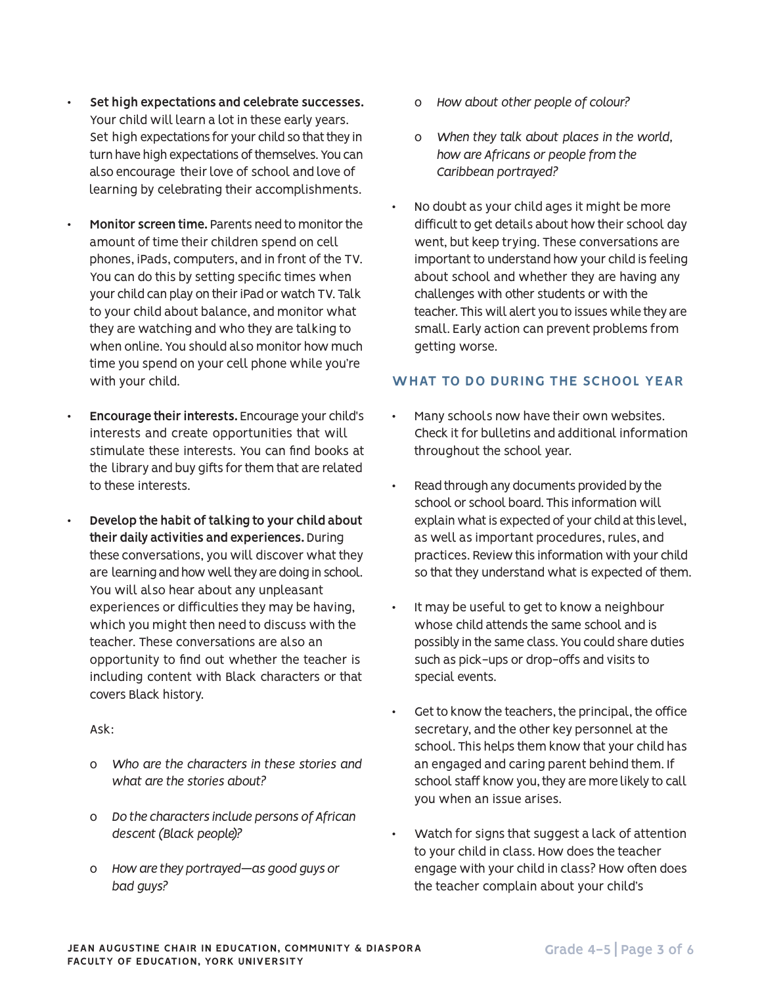- Set high expectations and celebrate successes. Your child will learn a lot in these early years. Set high expectations for your child so that they in turn have high expectations of themselves. You can also encourage their love of school and love of learning by celebrating their accomplishments.
- **Monitor screen time.** Parents need to monitor the amount of time their children spend on cell phones, iPads, computers, and in front of the TV. You can do this by setting specific times when your child can play on their iPad or watch TV. Talk to your child about balance, and monitor what they are watching and who they are talking to when online. You should also monitor how much time you spend on your cell phone while you're with your child.
- **Encourage their interests.** Encourage your child's interests and create opportunities that will stimulate these interests. You can find books at the library and buy gifts for them that are related to these interests.
- Develop the habit of talking to your child about **their daily activities and experiences.** During these conversations, you will discover what they are learning and how well they are doing in school. You will also hear about any unpleasant experiences or difficulties they may be having, which you might then need to discuss with the teacher. These conversations are also an opportunity to find out whether the teacher is including content with Black characters or that covers Black history.

### Ask:

- o *Who are the characters in these stories and what are the stories about?*
- o *Do the characters include persons of African descent (Black people)?*
- o *How are they portrayed—as good guys or bad guys?*
- o *How about other people of colour?*
- o *When they talk about places in the world, how are Africans or people from the Caribbean portrayed?*
- No doubt as your child ages it might be more difficult to get details about how their school day went, but keep trying. These conversations are important to understand how your child is feeling about school and whether they are having any challenges with other students or with the teacher. This will alert you to issues while they are small. Early action can prevent problems from getting worse.

# **WHAT TO DO DURING THE SCHOOL YEAR**

- Many schools now have their own websites. Check it for bulletins and additional information throughout the school year.
- Read through any documents provided by the school or school board. This information will explain what is expected of your child at this level, as well as important procedures, rules, and practices. Review this information with your child so that they understand what is expected of them.
- It may be useful to get to know a neighbour whose child attends the same school and is possibly in the same class. You could share duties such as pick-ups or drop-offs and visits to special events.
- Get to know the teachers, the principal, the office secretary, and the other key personnel at the school. This helps them know that your child has an engaged and caring parent behind them. If school staff know you, they are more likely to call you when an issue arises.
- Watch for signs that suggest a lack of attention to your child in class. How does the teacher engage with your child in class? How often does the teacher complain about your child's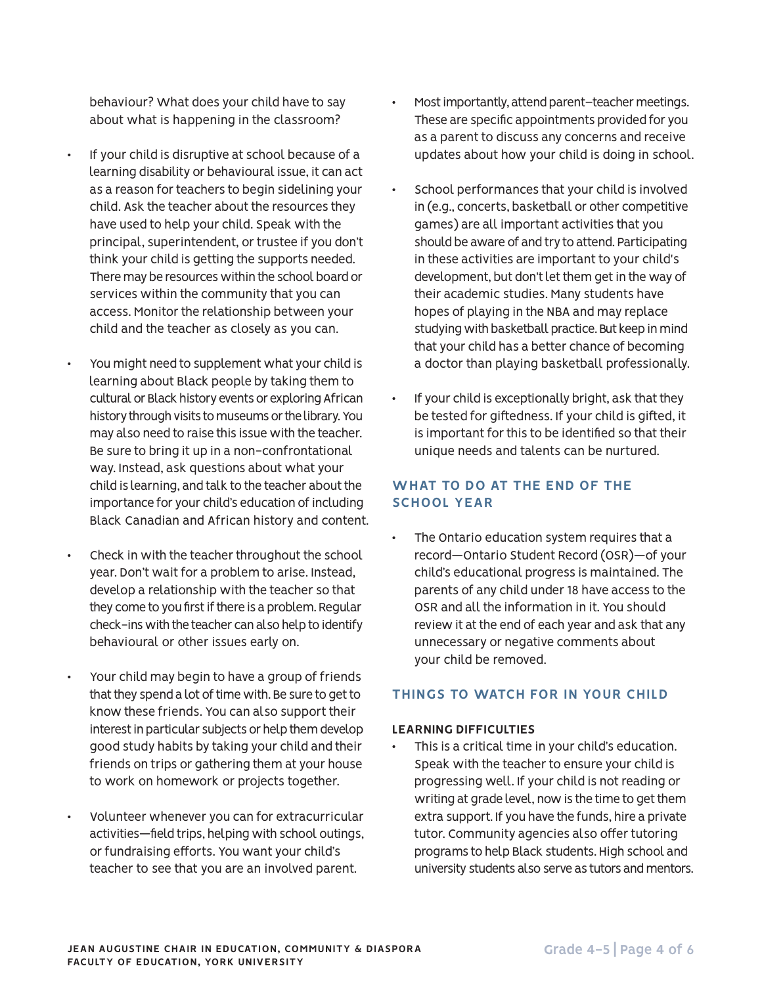behaviour? What does your child have to say about what is happening in the classroom?

- If your child is disruptive at school because of a learning disability or behavioural issue, it can act as a reason for teachers to begin sidelining your child. Ask the teacher about the resources they have used to help your child. Speak with the principal, superintendent, or trustee if you don't think your child is getting the supports needed. There may be resources within the school board or services within the community that you can access. Monitor the relationship between your child and the teacher as closely as you can.
- You might need to supplement what your child is learning about Black people by taking them to cultural or Black history events or exploring African history through visits to museums or the library. You may also need to raise this issue with the teacher. Be sure to bring it up in a non-confrontational way. Instead, ask questions about what your child is learning, and talk to the teacher about the importance for your child's education of including Black Canadian and African history and content.
- Check in with the teacher throughout the school year. Don't wait for a problem to arise. Instead, develop a relationship with the teacher so that they come to you first if there is a problem. Regular check-ins with the teacher can also help to identify behavioural or other issues early on.
- Your child may begin to have a group of friends that they spend a lot of time with. Be sure to get to know these friends. You can also support their interest in particular subjects or help them develop good study habits by taking your child and their friends on trips or gathering them at your house to work on homework or projects together.
- Volunteer whenever you can for extracurricular activities—field trips, helping with school outings, or fundraising efforts. You want your child's teacher to see that you are an involved parent.
- Most importantly, attend parent-teacher meetings. These are specific appointments provided for you as a parent to discuss any concerns and receive updates about how your child is doing in school.
- School performances that your child is involved in (e.g., concerts, basketball or other competitive games) are all important activities that you should be aware of and try to attend. Participating in these activities are important to your child's development, but don't let them get in the way of their academic studies. Many students have hopes of playing in the NBA and may replace studying with basketball practice. But keep in mind that your child has a better chance of becoming a doctor than playing basketball professionally.
- If your child is exceptionally bright, ask that they be tested for giftedness. If your child is gifted, it is important for this to be identified so that their unique needs and talents can be nurtured.

# **WHAT TO DO AT THE END OF THE SCHOOL YEAR**

• The Ontario education system requires that a record—Ontario Student Record (OSR)—of your child's educational progress is maintained. The parents of any child under 18 have access to the OSR and all the information in it. You should review it at the end of each year and ask that any unnecessary or negative comments about your child be removed.

## **THINGS TO WATCH FOR IN YOUR CHILD**

### **LEARNING DIFFICULTIES**

This is a critical time in your child's education. Speak with the teacher to ensure your child is progressing well. If your child is not reading or writing at grade level, now is the time to get them extra support. If you have the funds, hire a private tutor. Community agencies also offer tutoring programs to help Black students. High school and university students also serve as tutors and mentors.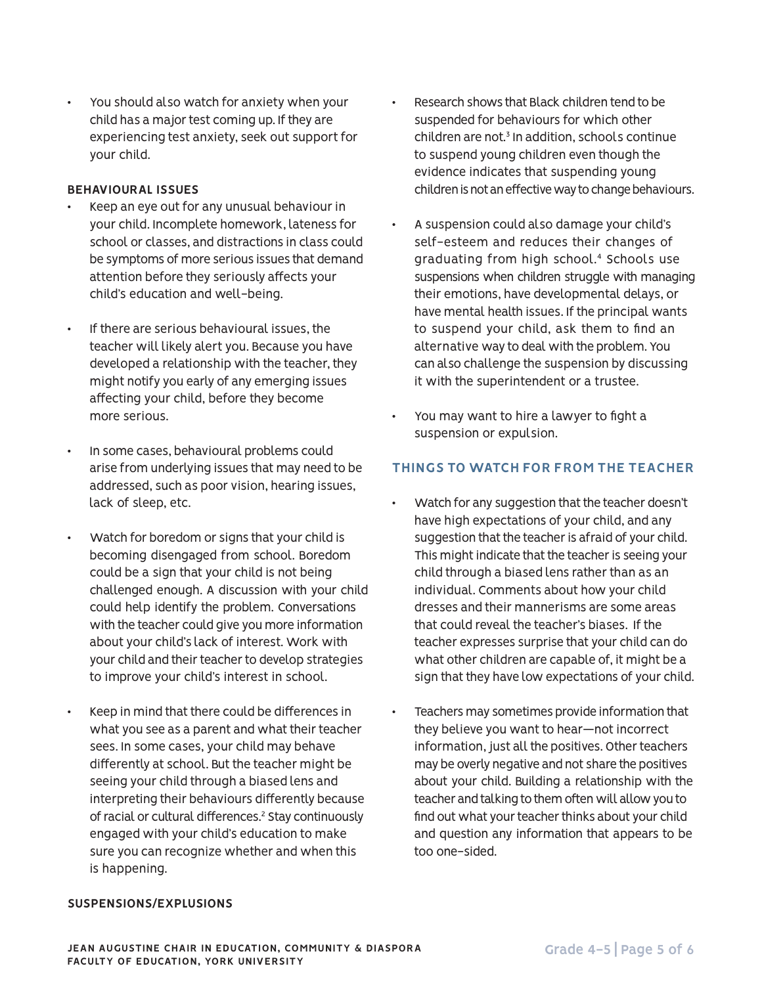You should also watch for anxiety when your child has a major test coming up. If they are experiencing test anxiety, seek out support for your child.

#### **BEHAVIOURAL ISSUES**

- Keep an eye out for any unusual behaviour in your child. Incomplete homework, lateness for school or classes, and distractions in class could be symptoms of more serious issues that demand attention before they seriously affects your child's education and well-being.
- If there are serious behavioural issues, the teacher will likely alert you. Because you have developed a relationship with the teacher, they might notify you early of any emerging issues affecting your child, before they become more serious.
- In some cases, behavioural problems could arise from underlying issues that may need to be addressed, such as poor vision, hearing issues, lack of sleep, etc.
- Watch for boredom or signs that your child is becoming disengaged from school. Boredom could be a sign that your child is not being challenged enough. A discussion with your child could help identify the problem. Conversations with the teacher could give you more information about your child's lack of interest. Work with your child and their teacher to develop strategies to improve your child's interest in school.
- Keep in mind that there could be differences in what you see as a parent and what their teacher sees. In some cases, your child may behave differently at school. But the teacher might be seeing your child through a biased lens and interpreting their behaviours differently because of racial or cultural differences.<sup>2</sup> Stay continuously engaged with your child's education to make sure you can recognize whether and when this is happening.
- Research shows that Black children tend to be suspended for behaviours for which other children are not.3 In addition, schools continue to suspend young children even though the evidence indicates that suspending young children is not an effective way to change behaviours.
- A suspension could also damage your child's self-esteem and reduces their changes of graduating from high school.4 Schools use suspensions when children struggle with managing their emotions, have developmental delays, or have mental health issues. If the principal wants to suspend your child, ask them to find an alternative way to deal with the problem. You can also challenge the suspension by discussing it with the superintendent or a trustee.
- You may want to hire a lawyer to fight a suspension or expulsion.

## **THINGS TO WATCH FOR FROM THE TEACHER**

- Watch for any suggestion that the teacher doesn't have high expectations of your child, and any suggestion that the teacher is afraid of your child. This might indicate that the teacher is seeing your child through a biased lens rather than as an individual. Comments about how your child dresses and their mannerisms are some areas that could reveal the teacher's biases. If the teacher expresses surprise that your child can do what other children are capable of, it might be a sign that they have low expectations of your child.
- Teachers may sometimes provide information that they believe you want to hear—not incorrect information, just all the positives. Other teachers may be overly negative and not share the positives about your child. Building a relationship with the teacher and talking to them often will allow you to find out what your teacher thinks about your child and question any information that appears to be too one-sided.